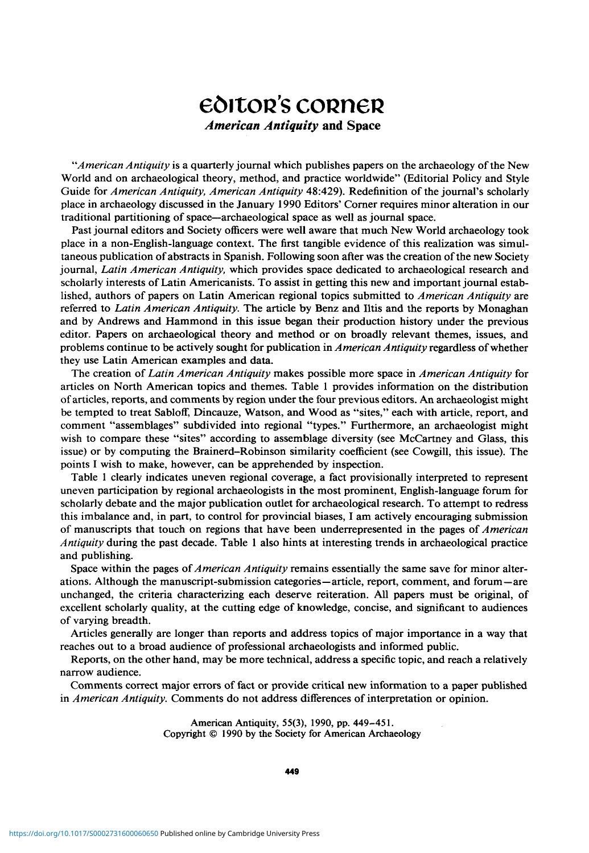## editor's cornea *American Antiquity* **and Space**

*"American Antiquity* is a quarterly journal which publishes papers on the archaeology of the New World and on archaeological theory, method, and practice worldwide" (Editorial Policy and Style Guide for *American Antiquity, American Antiquity* 48:429). Redefinition of the journal's scholarly place in archaeology discussed in the January 1990 Editors' Corner requires minor alteration in our traditional partitioning of space—archaeological space as well as journal space.

Past journal editors and Society officers were well aware that much New World archaeology took place in a non-English-language context. The first tangible evidence of this realization was simultaneous publication of abstracts in Spanish. Following soon after was the creation of the new Society journal, *Latin American Antiquity,* which provides space dedicated to archaeological research and scholarly interests of Latin Americanists. To assist in getting this new and important journal established, authors of papers on Latin American regional topics submitted to *American Antiquity* are referred to *Latin American Antiquity.* The article by Benz and litis and the reports by Monaghan and by Andrews and Hammond in this issue began their production history under the previous editor. Papers on archaeological theory and method or on broadly relevant themes, issues, and problems continue to be actively sought for publication in *American Antiquity* regardless of whether they use Latin American examples and data.

The creation *of Latin American Antiquity* makes possible more space in *American Antiquity* for articles on North American topics and themes. Table 1 provides information on the distribution of articles, reports, and comments by region under the four previous editors. An archaeologist might be tempted to treat Sabloff, Dincauze, Watson, and Wood as "sites," each with article, report, and comment "assemblages" subdivided into regional "types." Furthermore, an archaeologist might wish to compare these "sites" according to assemblage diversity (see McCartney and Glass, this issue) or by computing the Brainerd-Robinson similarity coefficient (see Cowgill, this issue). The points I wish to make, however, can be apprehended by inspection.

Table 1 clearly indicates uneven regional coverage, a fact provisionally interpreted to represent uneven participation by regional archaeologists in the most prominent, English-language forum for scholarly debate and the major publication outlet for archaeological research. To attempt to redress this imbalance and, in part, to control for provincial biases, I am actively encouraging submission of manuscripts that touch on regions that have been underrepresented in the pages *of American Antiquity* during the past decade. Table 1 also hints at interesting trends in archaeological practice and publishing.

Space within the pages *of American Antiquity* remains essentially the same save for minor alterations. Although the manuscript-submission categories—article, report, comment, and forum—are unchanged, the criteria characterizing each deserve reiteration. All papers must be original, of excellent scholarly quality, at the cutting edge of knowledge, concise, and significant to audiences of varying breadth.

Articles generally are longer than reports and address topics of major importance in a way that reaches out to a broad audience of professional archaeologists and informed public.

Reports, on the other hand, may be more technical, address a specific topic, and reach a relatively narrow audience.

Comments correct major errors of fact or provide critical new information to a paper published in *American Antiquity.* Comments do not address differences of interpretation or opinion.

> American Antiquity, 55(3), 1990, pp. 449-451. Copyright © 1990 by the Society for American Archaeology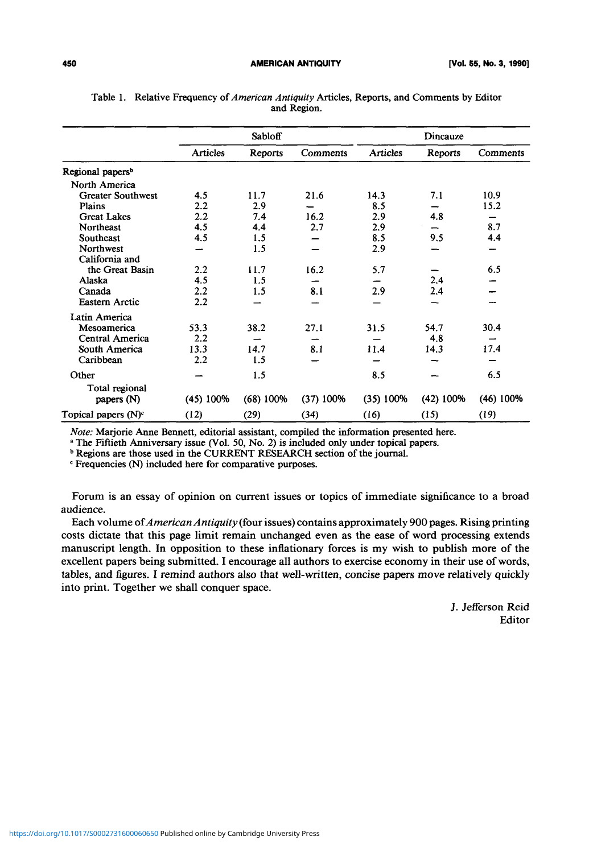## **450 AMERICAN ANTIQUITY [Vol. 55, No. 3, 1990]**

|                              | <b>Sabloff</b>  |           |             | Dincauze        |             |             |
|------------------------------|-----------------|-----------|-------------|-----------------|-------------|-------------|
|                              | <b>Articles</b> | Reports   | Comments    | <b>Articles</b> | Reports     | Comments    |
| Regional papers <sup>b</sup> |                 |           |             |                 |             |             |
| North America                |                 |           |             |                 |             |             |
| <b>Greater Southwest</b>     | 4.5             | 11.7      | 21.6        | 14.3            | 7.1         | 10.9        |
| Plains                       | 2.2             | 2.9       |             | 8.5             |             | 15.2        |
| <b>Great Lakes</b>           | 2.2             | 7.4       | 16.2        | 2.9             | 4.8         | ⊸           |
| Northeast                    | 4.5             | 4.4       | 2.7         | 2.9             |             | 8.7         |
| Southeast                    | 4.5             | 1.5       |             | 8.5             | 9.5         | 4.4         |
| Northwest                    |                 | 1.5       |             | 2.9             |             |             |
| California and               |                 |           |             |                 |             |             |
| the Great Basin              | 2.2             | 11.7      | 16.2        | 5.7             |             | 6.5         |
| Alaska                       | 4.5             | 1.5       |             |                 | 2.4         |             |
| Canada                       | 2.2             | 1.5       | 8.1         | 2.9             | 2,4         |             |
| Eastern Arctic               | 2.2             |           |             |                 |             |             |
| Latin America                |                 |           |             |                 |             |             |
| Mesoamerica                  | 53.3            | 38.2      | 27.1        | 31.5            | 54.7        | 30.4        |
| Central America              | 2.2             |           |             |                 | 4.8         |             |
| South America                | 13.3            | 14.7      | 8.1         | 11.4            | 14.3        | 17.4        |
| Caribbean                    | 2.2             | 1.5       |             |                 |             |             |
| Other                        |                 | 1.5       |             | 8.5             |             | 6.5         |
| Total regional               |                 |           |             |                 |             |             |
| papers (N)                   | (45) 100%       | (68) 100% | $(37)$ 100% | (35) 100%       | $(42)$ 100% | $(46)$ 100% |
| Topical papers $(N)^c$       | (12)            | (29)      | (34)        | (16)            | (15)        | (19)        |

Table 1. Relative Frequency of *American Antiquity* Articles, Reports, and Comments by Editor and Region.

*Note:* Marjorie Anne Bennett, editorial assistant, compiled the information presented here.

<sup>a</sup> The Fiftieth Anniversary issue (Vol. 50, No. 2) is included only under topical papers.

<sup>b</sup> Regions are those used in the CURRENT RESEARCH section of the journal.

Frequencies (N) included here for comparative purposes.

Forum is an essay of opinion on current issues or topics of immediate significance to a broad audience.

Each volume of *American Antiquity* (four issues) contains approximately 900 pages. Rising printing costs dictate that this page limit remain unchanged even as the ease of word processing extends manuscript length. In opposition to these inflationary forces is my wish to publish more of the excellent papers being submitted. I encourage all authors to exercise economy in their use of words, tables, and figures. I remind authors also that well-written, concise papers move relatively quickly into print. Together we shall conquer space.

> J. Jefferson Reid Editor